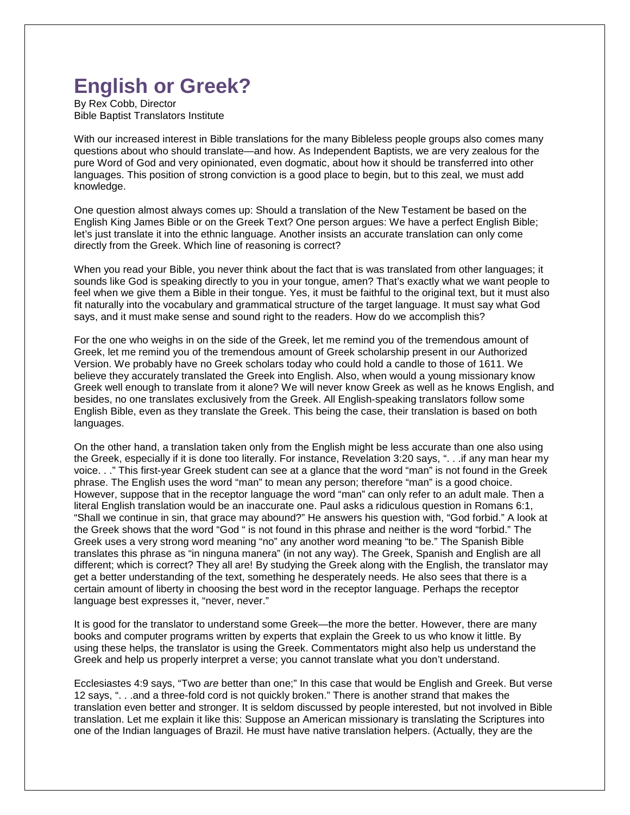## **English or Greek?**

By Rex Cobb, Director Bible Baptist Translators Institute

With our increased interest in Bible translations for the many Bibleless people groups also comes many questions about who should translate—and how. As Independent Baptists, we are very zealous for the pure Word of God and very opinionated, even dogmatic, about how it should be transferred into other languages. This position of strong conviction is a good place to begin, but to this zeal, we must add knowledge.

One question almost always comes up: Should a translation of the New Testament be based on the English King James Bible or on the Greek Text? One person argues: We have a perfect English Bible; let's just translate it into the ethnic language. Another insists an accurate translation can only come directly from the Greek. Which line of reasoning is correct?

When you read your Bible, you never think about the fact that is was translated from other languages; it sounds like God is speaking directly to you in your tongue, amen? That's exactly what we want people to feel when we give them a Bible in their tongue. Yes, it must be faithful to the original text, but it must also fit naturally into the vocabulary and grammatical structure of the target language. It must say what God says, and it must make sense and sound right to the readers. How do we accomplish this?

For the one who weighs in on the side of the Greek, let me remind you of the tremendous amount of Greek, let me remind you of the tremendous amount of Greek scholarship present in our Authorized Version. We probably have no Greek scholars today who could hold a candle to those of 1611. We believe they accurately translated the Greek into English. Also, when would a young missionary know Greek well enough to translate from it alone? We will never know Greek as well as he knows English, and besides, no one translates exclusively from the Greek. All English-speaking translators follow some English Bible, even as they translate the Greek. This being the case, their translation is based on both languages.

On the other hand, a translation taken only from the English might be less accurate than one also using the Greek, especially if it is done too literally. For instance, Revelation 3:20 says, ". . .if any man hear my voice. . ." This first-year Greek student can see at a glance that the word "man" is not found in the Greek phrase. The English uses the word "man" to mean any person; therefore "man" is a good choice. However, suppose that in the receptor language the word "man" can only refer to an adult male. Then a literal English translation would be an inaccurate one. Paul asks a ridiculous question in Romans 6:1, "Shall we continue in sin, that grace may abound?" He answers his question with, "God forbid." A look at the Greek shows that the word "God " is not found in this phrase and neither is the word "forbid." The Greek uses a very strong word meaning "no" any another word meaning "to be." The Spanish Bible translates this phrase as "in ninguna manera" (in not any way). The Greek, Spanish and English are all different; which is correct? They all are! By studying the Greek along with the English, the translator may get a better understanding of the text, something he desperately needs. He also sees that there is a certain amount of liberty in choosing the best word in the receptor language. Perhaps the receptor language best expresses it, "never, never."

It is good for the translator to understand some Greek—the more the better. However, there are many books and computer programs written by experts that explain the Greek to us who know it little. By using these helps, the translator is using the Greek. Commentators might also help us understand the Greek and help us properly interpret a verse; you cannot translate what you don't understand.

Ecclesiastes 4:9 says, "Two *are* better than one;" In this case that would be English and Greek. But verse 12 says, ". . .and a three-fold cord is not quickly broken." There is another strand that makes the translation even better and stronger. It is seldom discussed by people interested, but not involved in Bible translation. Let me explain it like this: Suppose an American missionary is translating the Scriptures into one of the Indian languages of Brazil. He must have native translation helpers. (Actually, they are the